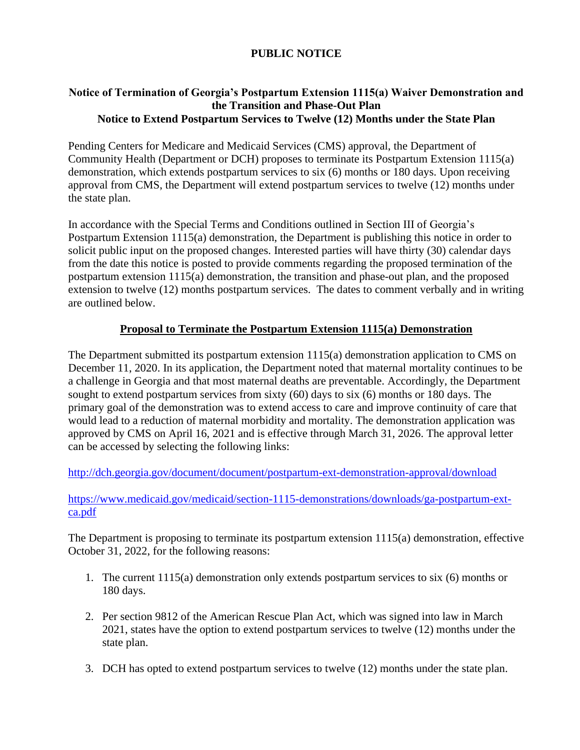## **PUBLIC NOTICE**

### **Notice of Termination of Georgia's Postpartum Extension 1115(a) Waiver Demonstration and the Transition and Phase-Out Plan Notice to Extend Postpartum Services to Twelve (12) Months under the State Plan**

Pending Centers for Medicare and Medicaid Services (CMS) approval, the Department of Community Health (Department or DCH) proposes to terminate its Postpartum Extension 1115(a) demonstration, which extends postpartum services to six (6) months or 180 days. Upon receiving approval from CMS, the Department will extend postpartum services to twelve (12) months under the state plan.

In accordance with the Special Terms and Conditions outlined in Section III of Georgia's Postpartum Extension 1115(a) demonstration, the Department is publishing this notice in order to solicit public input on the proposed changes. Interested parties will have thirty (30) calendar days from the date this notice is posted to provide comments regarding the proposed termination of the postpartum extension 1115(a) demonstration, the transition and phase-out plan, and the proposed extension to twelve (12) months postpartum services. The dates to comment verbally and in writing are outlined below.

### **Proposal to Terminate the Postpartum Extension 1115(a) Demonstration**

The Department submitted its postpartum extension 1115(a) demonstration application to CMS on December 11, 2020. In its application, the Department noted that maternal mortality continues to be a challenge in Georgia and that most maternal deaths are preventable. Accordingly, the Department sought to extend postpartum services from sixty (60) days to six (6) months or 180 days. The primary goal of the demonstration was to extend access to care and improve continuity of care that would lead to a reduction of maternal morbidity and mortality. The demonstration application was approved by CMS on April 16, 2021 and is effective through March 31, 2026. The approval letter can be accessed by selecting the following links:

<http://dch.georgia.gov/document/document/postpartum-ext-demonstration-approval/download>

### [https://www.medicaid.gov/medicaid/section-1115-demonstrations/downloads/ga-postpartum-ext](https://www.medicaid.gov/medicaid/section-1115-demonstrations/downloads/ga-postpartum-ext-ca.pdf)[ca.pdf](https://www.medicaid.gov/medicaid/section-1115-demonstrations/downloads/ga-postpartum-ext-ca.pdf)

The Department is proposing to terminate its postpartum extension 1115(a) demonstration, effective October 31, 2022, for the following reasons:

- 1. The current 1115(a) demonstration only extends postpartum services to six (6) months or 180 days.
- 2. Per section 9812 of the American Rescue Plan Act, which was signed into law in March 2021, states have the option to extend postpartum services to twelve (12) months under the state plan.
- 3. DCH has opted to extend postpartum services to twelve (12) months under the state plan.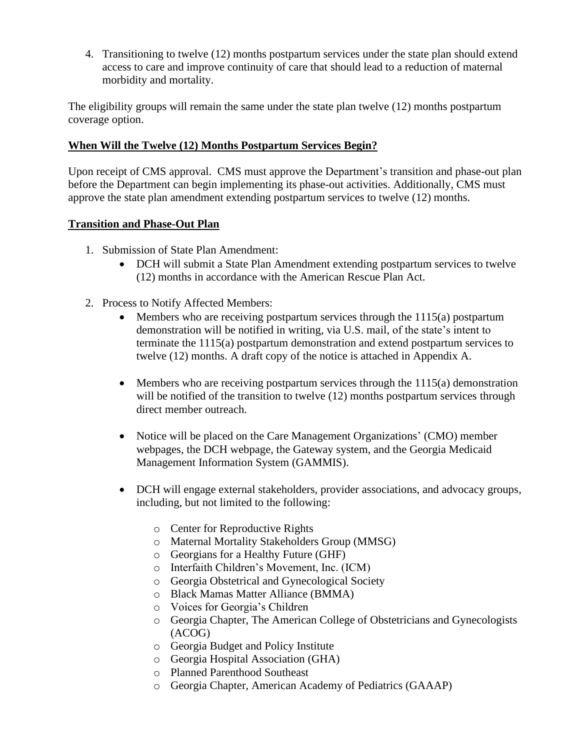4. Transitioning to twelve (12) months postpartum services under the state plan should extend access to care and improve continuity of care that should lead to a reduction of maternal morbidity and mortality.

The eligibility groups will remain the same under the state plan twelve (12) months postpartum coverage option.

### **When Will the Twelve (12) Months Postpartum Services Begin?**

Upon receipt of CMS approval. CMS must approve the Department's transition and phase-out plan before the Department can begin implementing its phase-out activities. Additionally, CMS must approve the state plan amendment extending postpartum services to twelve (12) months.

### **Transition and Phase-Out Plan**

- 1. Submission of State Plan Amendment:
	- DCH will submit a State Plan Amendment extending postpartum services to twelve (12) months in accordance with the American Rescue Plan Act.
- 2. Process to Notify Affected Members:
	- Members who are receiving postpartum services through the 1115(a) postpartum demonstration will be notified in writing, via U.S. mail, of the state's intent to terminate the 1115(a) postpartum demonstration and extend postpartum services to twelve (12) months. A draft copy of the notice is attached in Appendix A.
	- Members who are receiving postpartum services through the  $1115(a)$  demonstration will be notified of the transition to twelve (12) months postpartum services through direct member outreach.
	- Notice will be placed on the Care Management Organizations' (CMO) member webpages, the DCH webpage, the Gateway system, and the Georgia Medicaid Management Information System (GAMMIS).
	- DCH will engage external stakeholders, provider associations, and advocacy groups, including, but not limited to the following:
		- o Center for Reproductive Rights
		- o Maternal Mortality Stakeholders Group (MMSG)
		- o Georgians for a Healthy Future (GHF)
		- o Interfaith Children's Movement, Inc. (ICM)
		- o Georgia Obstetrical and Gynecological Society
		- o Black Mamas Matter Alliance (BMMA)
		- o Voices for Georgia's Children
		- o Georgia Chapter, The American College of Obstetricians and Gynecologists (ACOG)
		- o Georgia Budget and Policy Institute
		- o Georgia Hospital Association (GHA)
		- o Planned Parenthood Southeast
		- o Georgia Chapter, American Academy of Pediatrics (GAAAP)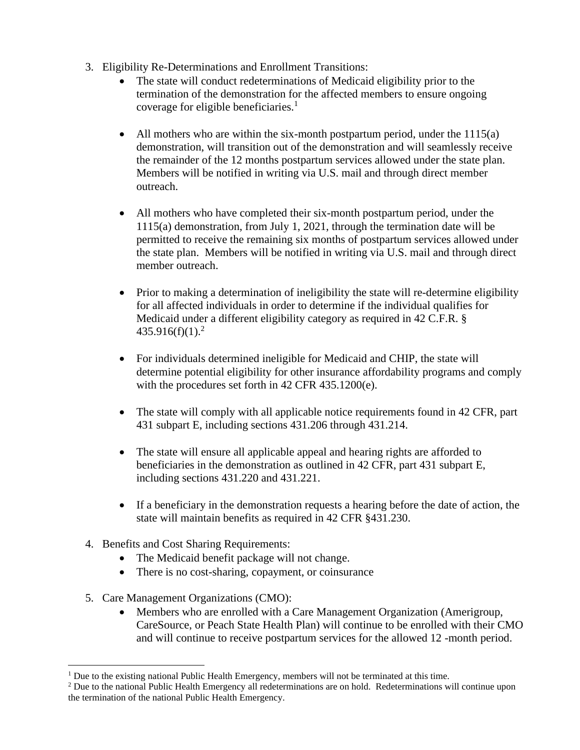- 3. Eligibility Re-Determinations and Enrollment Transitions:
	- The state will conduct redeterminations of Medicaid eligibility prior to the termination of the demonstration for the affected members to ensure ongoing coverage for eligible beneficiaries.<sup>1</sup>
	- All mothers who are within the six-month postpartum period, under the  $1115(a)$ demonstration, will transition out of the demonstration and will seamlessly receive the remainder of the 12 months postpartum services allowed under the state plan. Members will be notified in writing via U.S. mail and through direct member outreach.
	- All mothers who have completed their six-month postpartum period, under the 1115(a) demonstration, from July 1, 2021, through the termination date will be permitted to receive the remaining six months of postpartum services allowed under the state plan. Members will be notified in writing via U.S. mail and through direct member outreach.
	- Prior to making a determination of ineligibility the state will re-determine eligibility for all affected individuals in order to determine if the individual qualifies for Medicaid under a different eligibility category as required in 42 C.F.R. §  $435.916(f)(1).^{2}$
	- For individuals determined ineligible for Medicaid and CHIP, the state will determine potential eligibility for other insurance affordability programs and comply with the procedures set forth in 42 CFR 435.1200(e).
	- The state will comply with all applicable notice requirements found in 42 CFR, part 431 subpart E, including sections 431.206 through 431.214.
	- The state will ensure all applicable appeal and hearing rights are afforded to beneficiaries in the demonstration as outlined in 42 CFR, part 431 subpart E, including sections 431.220 and 431.221.
	- If a beneficiary in the demonstration requests a hearing before the date of action, the state will maintain benefits as required in 42 CFR §431.230.
- 4. Benefits and Cost Sharing Requirements:
	- The Medicaid benefit package will not change.
	- There is no cost-sharing, copayment, or coinsurance
- 5. Care Management Organizations (CMO):
	- Members who are enrolled with a Care Management Organization (Amerigroup, CareSource, or Peach State Health Plan) will continue to be enrolled with their CMO and will continue to receive postpartum services for the allowed 12 -month period.

<sup>&</sup>lt;sup>1</sup> Due to the existing national Public Health Emergency, members will not be terminated at this time.

<sup>2</sup> Due to the national Public Health Emergency all redeterminations are on hold. Redeterminations will continue upon the termination of the national Public Health Emergency.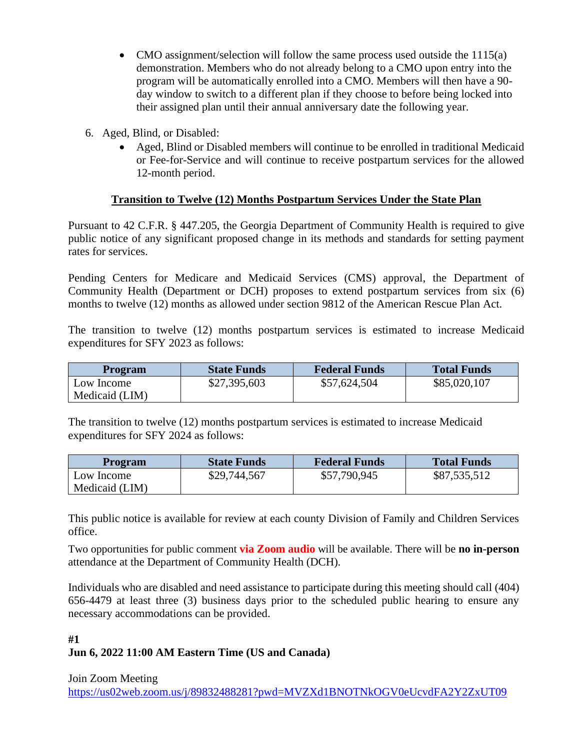- CMO assignment/selection will follow the same process used outside the 1115(a) demonstration. Members who do not already belong to a CMO upon entry into the program will be automatically enrolled into a CMO. Members will then have a 90 day window to switch to a different plan if they choose to before being locked into their assigned plan until their annual anniversary date the following year.
- 6. Aged, Blind, or Disabled:
	- Aged, Blind or Disabled members will continue to be enrolled in traditional Medicaid or Fee-for-Service and will continue to receive postpartum services for the allowed 12-month period.

### **Transition to Twelve (12) Months Postpartum Services Under the State Plan**

Pursuant to 42 C.F.R. § 447.205, the Georgia Department of Community Health is required to give public notice of any significant proposed change in its methods and standards for setting payment rates for services.

Pending Centers for Medicare and Medicaid Services (CMS) approval, the Department of Community Health (Department or DCH) proposes to extend postpartum services from six (6) months to twelve (12) months as allowed under section 9812 of the American Rescue Plan Act.

The transition to twelve (12) months postpartum services is estimated to increase Medicaid expenditures for SFY 2023 as follows:

| <b>Program</b>               | <b>State Funds</b> | <b>Federal Funds</b> | <b>Total Funds</b> |
|------------------------------|--------------------|----------------------|--------------------|
| Low Income<br>Medicaid (LIM) | \$27,395,603       | \$57,624,504         | \$85,020,107       |

The transition to twelve (12) months postpartum services is estimated to increase Medicaid expenditures for SFY 2024 as follows:

| <b>Program</b> | <b>State Funds</b> | <b>Federal Funds</b> | <b>Total Funds</b> |
|----------------|--------------------|----------------------|--------------------|
| Low Income     | \$29,744,567       | \$57,790,945         | \$87,535,512       |
| Medicaid (LIM) |                    |                      |                    |

This public notice is available for review at each county Division of Family and Children Services office.

Two opportunities for public comment **via Zoom audio** will be available. There will be **no in-person** attendance at the Department of Community Health (DCH).

Individuals who are disabled and need assistance to participate during this meeting should call (404) 656-4479 at least three (3) business days prior to the scheduled public hearing to ensure any necessary accommodations can be provided.

# **#1 Jun 6, 2022 11:00 AM Eastern Time (US and Canada)**

Join Zoom Meeting

[https://us02web.zoom.us/j/89832488281?pwd=MVZXd1BNOTNkOGV0eUcvdFA2Y2ZxUT09](https://gcc02.safelinks.protection.outlook.com/?url=https%3A%2F%2Fus02web.zoom.us%2Fj%2F89832488281%3Fpwd%3DMVZXd1BNOTNkOGV0eUcvdFA2Y2ZxUT09&data=05%7C01%7Cdanwilliams%40dch.ga.gov%7Cab2ce68bcbdf4a76d23108da3f4a5ca2%7C512da10d071b4b948abc9ec4044d1516%7C0%7C0%7C637891885852512737%7CUnknown%7CTWFpbGZsb3d8eyJWIjoiMC4wLjAwMDAiLCJQIjoiV2luMzIiLCJBTiI6Ik1haWwiLCJXVCI6Mn0%3D%7C3000%7C%7C%7C&sdata=S2kOs1RHqiMqL2U9LjMYmSjG6Mk2j4idOy4oxPszdx4%3D&reserved=0)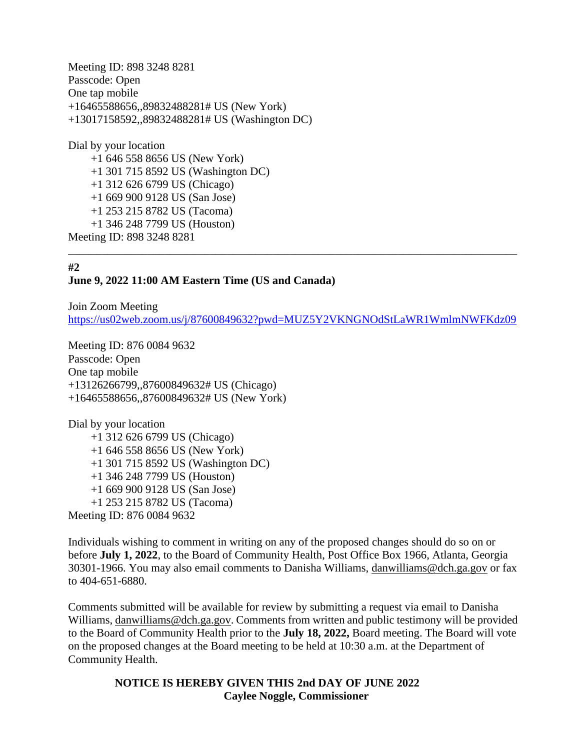Meeting ID: 898 3248 8281 Passcode: Open One tap mobile +16465588656,,89832488281# US (New York) +13017158592,,89832488281# US (Washington DC)

Dial by your location +1 646 558 8656 US (New York) +1 301 715 8592 US (Washington DC) +1 312 626 6799 US (Chicago) +1 669 900 9128 US (San Jose) +1 253 215 8782 US (Tacoma) +1 346 248 7799 US (Houston) Meeting ID: 898 3248 8281

# **#2**

### **June 9, 2022 11:00 AM Eastern Time (US and Canada)**

Join Zoom Meeting [https://us02web.zoom.us/j/87600849632?pwd=MUZ5Y2VKNGNOdStLaWR1WmlmNWFKdz09](https://gcc02.safelinks.protection.outlook.com/?url=https%3A%2F%2Fus02web.zoom.us%2Fj%2F87600849632%3Fpwd%3DMUZ5Y2VKNGNOdStLaWR1WmlmNWFKdz09&data=05%7C01%7Cdanwilliams%40dch.ga.gov%7Ca881cbd7ae4b4a0f900108da3f4a6957%7C512da10d071b4b948abc9ec4044d1516%7C0%7C0%7C637891886067582462%7CUnknown%7CTWFpbGZsb3d8eyJWIjoiMC4wLjAwMDAiLCJQIjoiV2luMzIiLCJBTiI6Ik1haWwiLCJXVCI6Mn0%3D%7C3000%7C%7C%7C&sdata=uuIwchqs4EJ3U6Xas0lCryh6py4RC21%2BrSHmM%2BGpaic%3D&reserved=0)

\_\_\_\_\_\_\_\_\_\_\_\_\_\_\_\_\_\_\_\_\_\_\_\_\_\_\_\_\_\_\_\_\_\_\_\_\_\_\_\_\_\_\_\_\_\_\_\_\_\_\_\_\_\_\_\_\_\_\_\_\_\_\_\_\_\_\_\_\_\_\_\_\_\_\_\_\_\_\_

Meeting ID: 876 0084 9632 Passcode: Open One tap mobile +13126266799,,87600849632# US (Chicago) +16465588656,,87600849632# US (New York)

Dial by your location +1 312 626 6799 US (Chicago) +1 646 558 8656 US (New York) +1 301 715 8592 US (Washington DC) +1 346 248 7799 US (Houston) +1 669 900 9128 US (San Jose) +1 253 215 8782 US (Tacoma) Meeting ID: 876 0084 9632

Individuals wishing to comment in writing on any of the proposed changes should do so on or before **July 1, 2022**, to the Board of Community Health, Post Office Box 1966, Atlanta, Georgia 30301-1966. You may also email comments to Danisha Williams, [danwilliams@dch.ga.gov](mailto:danwilliams@dch.ga.gov) or fax to 404-651-6880.

Comments submitted will be available for review by submitting a request via email to Danisha Williams, [danwilliams@dch.ga.gov.](mailto:danwilliams@dch.ga.gov) Comments from written and public testimony will be provided to the Board of Community Health prior to the **July 18, 2022,** Board meeting. The Board will vote on the proposed changes at the Board meeting to be held at 10:30 a.m. at the Department of Community Health.

> **NOTICE IS HEREBY GIVEN THIS 2nd DAY OF JUNE 2022 Caylee Noggle, Commissioner**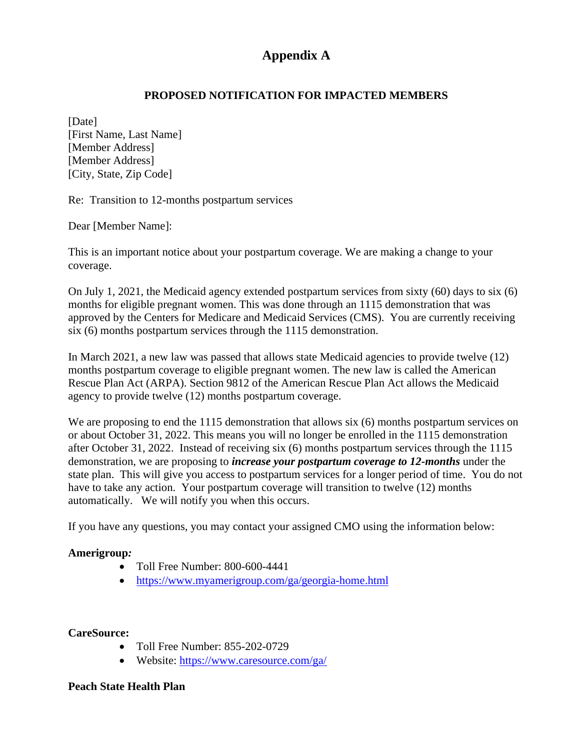# **Appendix A**

### **PROPOSED NOTIFICATION FOR IMPACTED MEMBERS**

[Date] [First Name, Last Name] [Member Address] [Member Address] [City, State, Zip Code]

Re: Transition to 12-months postpartum services

Dear [Member Name]:

This is an important notice about your postpartum coverage. We are making a change to your coverage.

On July 1, 2021, the Medicaid agency extended postpartum services from sixty (60) days to six (6) months for eligible pregnant women. This was done through an 1115 demonstration that was approved by the Centers for Medicare and Medicaid Services (CMS). You are currently receiving six (6) months postpartum services through the 1115 demonstration.

In March 2021, a new law was passed that allows state Medicaid agencies to provide twelve (12) months postpartum coverage to eligible pregnant women. The new law is called the American Rescue Plan Act (ARPA). Section 9812 of the American Rescue Plan Act allows the Medicaid agency to provide twelve (12) months postpartum coverage.

We are proposing to end the 1115 demonstration that allows six  $(6)$  months postpartum services on or about October 31, 2022. This means you will no longer be enrolled in the 1115 demonstration after October 31, 2022. Instead of receiving six (6) months postpartum services through the 1115 demonstration, we are proposing to *increase your postpartum coverage to 12-months* under the state plan. This will give you access to postpartum services for a longer period of time. You do not have to take any action. Your postpartum coverage will transition to twelve (12) months automatically. We will notify you when this occurs.

If you have any questions, you may contact your assigned CMO using the information below:

### **Amerigroup***:*

- Toll Free Number: 800-600-4441
- <https://www.myamerigroup.com/ga/georgia-home.html>

#### **CareSource:**

- Toll Free Number: 855-202-0729
- Website:<https://www.caresource.com/ga/>

#### **Peach State Health Plan**